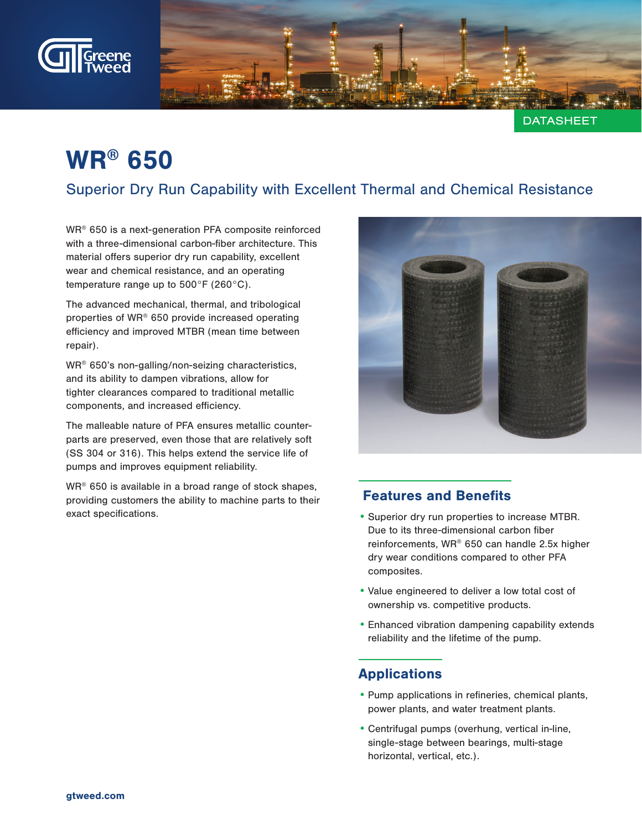

**DATASHEET** 

# WR® 650

## Superior Dry Run Capability with Excellent Thermal and Chemical Resistance

WR® 650 is a next-generation PFA composite reinforced with a three-dimensional carbon-fiber architecture. This material offers superior dry run capability, excellent wear and chemical resistance, and an operating temperature range up to 500°F (260°C).

The advanced mechanical, thermal, and tribological properties of WR® 650 provide increased operating efficiency and improved MTBR (mean time between repair).

WR® 650's non-galling/non-seizing characteristics, and its ability to dampen vibrations, allow for tighter clearances compared to traditional metallic components, and increased efficiency.

The malleable nature of PFA ensures metallic counterparts are preserved, even those that are relatively soft (SS 304 or 316). This helps extend the service life of pumps and improves equipment reliability.

WR<sup>®</sup> 650 is available in a broad range of stock shapes, providing customers the ability to machine parts to their exact specifications.



### Features and Benefits

- •Superior dry run properties to increase MTBR. Due to its three-dimensional carbon fiber reinforcements, WR® 650 can handle 2.5x higher dry wear conditions compared to other PFA composites.
- •Value engineered to deliver a low total cost of ownership vs. competitive products.
- •Enhanced vibration dampening capability extends reliability and the lifetime of the pump.

### Applications

- •Pump applications in refineries, chemical plants, power plants, and water treatment plants.
- •Centrifugal pumps (overhung, vertical in-line, single-stage between bearings, multi-stage horizontal, vertical, etc.).